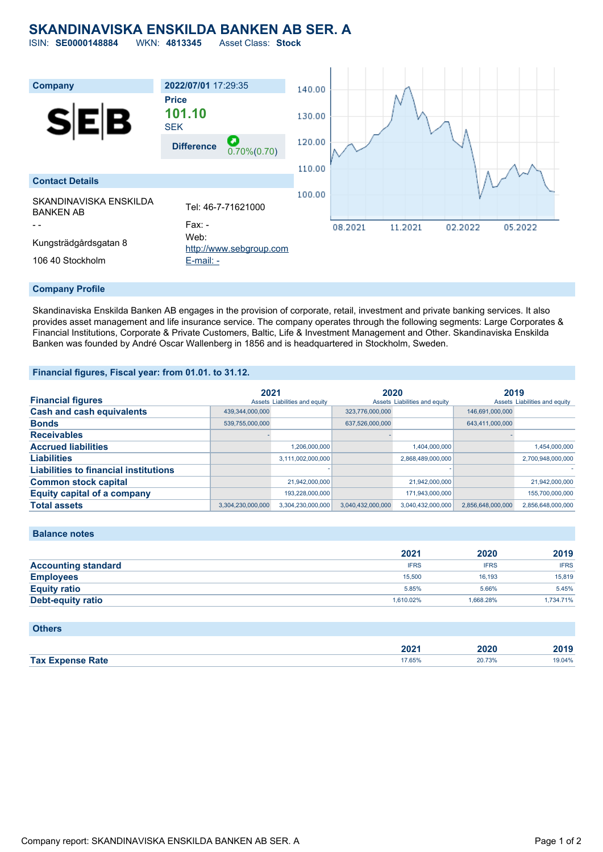# **SKANDINAVISKA ENSKILDA BANKEN AB SER. A**

ISIN: **SE0000148884** WKN: **4813345** Asset Class: **Stock**



#### **Company Profile**

Skandinaviska Enskilda Banken AB engages in the provision of corporate, retail, investment and private banking services. It also provides asset management and life insurance service. The company operates through the following segments: Large Corporates & Financial Institutions, Corporate & Private Customers, Baltic, Life & Investment Management and Other. Skandinaviska Enskilda Banken was founded by André Oscar Wallenberg in 1856 and is headquartered in Stockholm, Sweden.

#### **Financial figures, Fiscal year: from 01.01. to 31.12.**

|                                              | 2021              |                               | 2020              |                               | 2019              |                               |
|----------------------------------------------|-------------------|-------------------------------|-------------------|-------------------------------|-------------------|-------------------------------|
| <b>Financial figures</b>                     |                   | Assets Liabilities and equity |                   | Assets Liabilities and equity |                   | Assets Liabilities and equity |
| <b>Cash and cash equivalents</b>             | 439,344,000,000   |                               | 323,776,000,000   |                               | 146,691,000,000   |                               |
| <b>Bonds</b>                                 | 539,755,000,000   |                               | 637,526,000,000   |                               | 643,411,000,000   |                               |
| <b>Receivables</b>                           |                   |                               |                   |                               |                   |                               |
| <b>Accrued liabilities</b>                   |                   | 1,206,000,000                 |                   | 1,404,000,000                 |                   | 1,454,000,000                 |
| <b>Liabilities</b>                           |                   | 3,111,002,000,000             |                   | 2,868,489,000,000             |                   | 2,700,948,000,000             |
| <b>Liabilities to financial institutions</b> |                   |                               |                   |                               |                   |                               |
| <b>Common stock capital</b>                  |                   | 21,942,000,000                |                   | 21,942,000,000                |                   | 21,942,000,000                |
| <b>Equity capital of a company</b>           |                   | 193,228,000,000               |                   | 171,943,000,000               |                   | 155,700,000,000               |
| <b>Total assets</b>                          | 3.304.230.000.000 | 3.304.230.000.000             | 3.040.432.000.000 | 3.040.432.000.000             | 2,856,648,000,000 | 2.856.648.000.000             |

#### **Balance notes**

|                            | 2021        | 2020        | 2019        |
|----------------------------|-------------|-------------|-------------|
| <b>Accounting standard</b> | <b>IFRS</b> | <b>IFRS</b> | <b>IFRS</b> |
| <b>Employees</b>           | 15,500      | 16.193      | 15,819      |
| <b>Equity ratio</b>        | 5.85%       | 5.66%       | 5.45%       |
| <b>Debt-equity ratio</b>   | 1.610.02%   | 1.668.28%   | 1,734.71%   |

#### **Others**

|                         | 2021   | 2020   | 2010   |
|-------------------------|--------|--------|--------|
|                         |        | _____  | 40 I J |
| <b>Tax Expense Rate</b> | 17.65% | 20.73% | 19.04% |